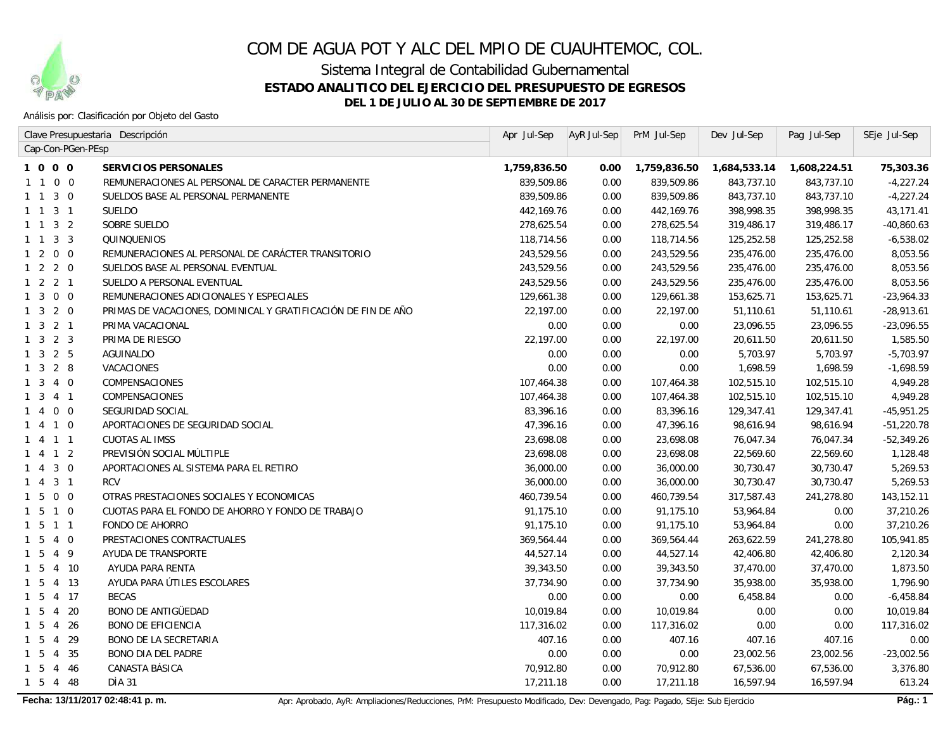

Sistema Integral de Contabilidad Gubernamental

**ESTADO ANALITICO DEL EJERCICIO DEL PRESUPUESTO DE EGRESOS**

**DEL 1 DE JULIO AL 30 DE SEPTIEMBRE DE 2017**

Análisis por: Clasificación por Objeto del Gasto

|                                           | Clave Presupuestaria Descripción                              | Apr Jul-Sep  | $AYR$ Jul-Sep | PrM Jul-Sep  | Dev Jul-Sep  | Pag Jul-Sep  | SEje Jul-Sep |
|-------------------------------------------|---------------------------------------------------------------|--------------|---------------|--------------|--------------|--------------|--------------|
| Cap-Con-PGen-PEsp                         |                                                               |              |               |              |              |              |              |
| 1000                                      | <b>SERVICIOS PERSONALES</b>                                   | 1,759,836.50 | 0.00          | 1,759,836.50 | 1,684,533.14 | 1,608,224.51 | 75,303.36    |
| $1 1 0 0$                                 | REMUNERACIONES AL PERSONAL DE CARACTER PERMANENTE             | 839,509.86   | 0.00          | 839,509.86   | 843,737.10   | 843,737.10   | $-4,227.24$  |
| $1 \quad 1 \quad 3 \quad 0$               | SUELDOS BASE AL PERSONAL PERMANENTE                           | 839,509.86   | 0.00          | 839,509.86   | 843,737.10   | 843,737.10   | $-4,227.24$  |
| 1 1 3 1                                   | <b>SUELDO</b>                                                 | 442,169.76   | 0.00          | 442, 169. 76 | 398,998.35   | 398,998.35   | 43, 171.41   |
| $1 \quad 1 \quad 3 \quad 2$               | SOBRE SUELDO                                                  | 278,625.54   | 0.00          | 278,625.54   | 319,486.17   | 319,486.17   | $-40,860.63$ |
| 1 1 3 3                                   | QUINQUENIOS                                                   | 118,714.56   | 0.00          | 118,714.56   | 125,252.58   | 125,252.58   | $-6,538.02$  |
| $1 2 0 0$                                 | REMUNERACIONES AL PERSONAL DE CARÁCTER TRANSITORIO            | 243,529.56   | 0.00          | 243,529.56   | 235,476.00   | 235,476.00   | 8,053.56     |
| $1 2 2 0$                                 | SUELDOS BASE AL PERSONAL EVENTUAL                             | 243,529.56   | 0.00          | 243,529.56   | 235,476.00   | 235,476.00   | 8,053.56     |
| $1 \quad 2 \quad 2 \quad 1$               | SUELDO A PERSONAL EVENTUAL                                    | 243,529.56   | 0.00          | 243,529.56   | 235,476.00   | 235,476.00   | 8,053.56     |
| $1 \quad 3 \quad 0 \quad 0$               | REMUNERACIONES ADICIONALES Y ESPECIALES                       | 129,661.38   | 0.00          | 129,661.38   | 153,625.71   | 153,625.71   | $-23,964.33$ |
| $1 \quad 3 \quad 2 \quad 0$               | PRIMAS DE VACACIONES, DOMINICAL Y GRATIFICACIÓN DE FIN DE AÑO | 22,197.00    | 0.00          | 22,197.00    | 51,110.61    | 51,110.61    | $-28,913.61$ |
| $1 \quad 3 \quad 2 \quad 1$               | PRIMA VACACIONAL                                              | 0.00         | 0.00          | 0.00         | 23,096.55    | 23,096.55    | $-23,096.55$ |
| $1 \quad 3 \quad 2 \quad 3$               | PRIMA DE RIESGO                                               | 22,197.00    | 0.00          | 22,197.00    | 20,611.50    | 20,611.50    | 1,585.50     |
| $1 \quad 3 \quad 2 \quad 5$               | <b>AGUINALDO</b>                                              | 0.00         | 0.00          | 0.00         | 5,703.97     | 5,703.97     | $-5,703.97$  |
| $1 \quad 3 \quad 2 \quad 8$               | <b>VACACIONES</b>                                             | 0.00         | 0.00          | 0.00         | 1,698.59     | 1,698.59     | $-1,698.59$  |
| $1 \t3 \t4 \t0$                           | <b>COMPENSACIONES</b>                                         | 107,464.38   | 0.00          | 107,464.38   | 102,515.10   | 102,515.10   | 4,949.28     |
| $1 \t3 \t4 \t1$                           | <b>COMPENSACIONES</b>                                         | 107,464.38   | 0.00          | 107,464.38   | 102,515.10   | 102,515.10   | 4,949.28     |
| 1 4 0 0                                   | SEGURIDAD SOCIAL                                              | 83,396.16    | 0.00          | 83,396.16    | 129,347.41   | 129,347.41   | $-45,951.25$ |
| 1 4 1 0                                   | APORTACIONES DE SEGURIDAD SOCIAL                              | 47,396.16    | 0.00          | 47,396.16    | 98,616.94    | 98,616.94    | $-51,220.78$ |
| 1 4 1 1                                   | <b>CUOTAS AL IMSS</b>                                         | 23,698.08    | 0.00          | 23,698.08    | 76,047.34    | 76,047.34    | $-52,349.26$ |
| 1 4 1 2                                   | PREVISIÓN SOCIAL MÚLTIPLE                                     | 23,698.08    | 0.00          | 23,698.08    | 22,569.60    | 22,569.60    | 1,128.48     |
| $3\quad0$<br>1 4                          | APORTACIONES AL SISTEMA PARA EL RETIRO                        | 36,000.00    | 0.00          | 36,000.00    | 30,730.47    | 30,730.47    | 5,269.53     |
| 3 <sub>1</sub><br>$1 \quad 4$             | <b>RCV</b>                                                    | 36,000.00    | 0.00          | 36,000.00    | 30,730.47    | 30,730.47    | 5,269.53     |
| 1500                                      | OTRAS PRESTACIONES SOCIALES Y ECONOMICAS                      | 460,739.54   | 0.00          | 460,739.54   | 317,587.43   | 241,278.80   | 143, 152. 11 |
| 1 5 1 0                                   | CUOTAS PARA EL FONDO DE AHORRO Y FONDO DE TRABAJO             | 91,175.10    | 0.00          | 91,175.10    | 53,964.84    | 0.00         | 37,210.26    |
| $1\ 5\ 1\ 1$                              | <b>FONDO DE AHORRO</b>                                        | 91,175.10    | 0.00          | 91,175.10    | 53,964.84    | 0.00         | 37,210.26    |
| $1\ 5\ 4\ 0$                              | PRESTACIONES CONTRACTUALES                                    | 369,564.44   | 0.00          | 369,564.44   | 263,622.59   | 241,278.80   | 105,941.85   |
| 1 5 4 9                                   | AYUDA DE TRANSPORTE                                           | 44,527.14    | 0.00          | 44,527.14    | 42,406.80    | 42,406.80    | 2,120.34     |
| 1 5 4 10                                  | AYUDA PARA RENTA                                              | 39,343.50    | 0.00          | 39,343.50    | 37,470.00    | 37,470.00    | 1,873.50     |
| 1 5 4 13                                  | AYUDA PARA ÚTILES ESCOLARES                                   | 37,734.90    | 0.00          | 37,734.90    | 35,938.00    | 35,938.00    | 1,796.90     |
| 1 5 4 17                                  | <b>BECAS</b>                                                  | 0.00         | 0.00          | 0.00         | 6,458.84     | 0.00         | $-6,458.84$  |
| $1\overline{5}$<br>4 20                   | <b>BONO DE ANTIGÜEDAD</b>                                     | 10,019.84    | 0.00          | 10,019.84    | 0.00         | 0.00         | 10,019.84    |
| $1\quad5$<br>$\overline{4}$<br>-26        | <b>BONO DE EFICIENCIA</b>                                     | 117,316.02   | 0.00          | 117,316.02   | 0.00         | 0.00         | 117,316.02   |
| $1\quad5$<br>29<br>$\overline{4}$         | <b>BONO DE LA SECRETARIA</b>                                  | 407.16       | 0.00          | 407.16       | 407.16       | 407.16       | 0.00         |
| $1\overline{5}$<br>$\overline{4}$<br>- 35 | <b>BONO DIA DEL PADRE</b>                                     | 0.00         | 0.00          | 0.00         | 23,002.56    | 23,002.56    | $-23,002.56$ |
| $1\quad5$<br>4 46                         | CANASTA BÁSICA                                                | 70,912.80    | 0.00          | 70,912.80    | 67,536.00    | 67,536.00    | 3,376.80     |
| 1 5 4 48                                  | DÌA 31                                                        | 17,211.18    | 0.00          | 17,211.18    | 16,597.94    | 16,597.94    | 613.24       |
|                                           |                                                               |              |               |              |              |              |              |

Fecha: 13/11/2017 02:48:41 p. m. **Apricagator Accidents Accidents** Apricagatory Apricagatory Apricagato, Probado, AyR: Ampliaciones/Reducciones, PrM: Presupuesto Modificado, Dev: Devengado, Pag: Pagado, SEje: Sub Ejercicio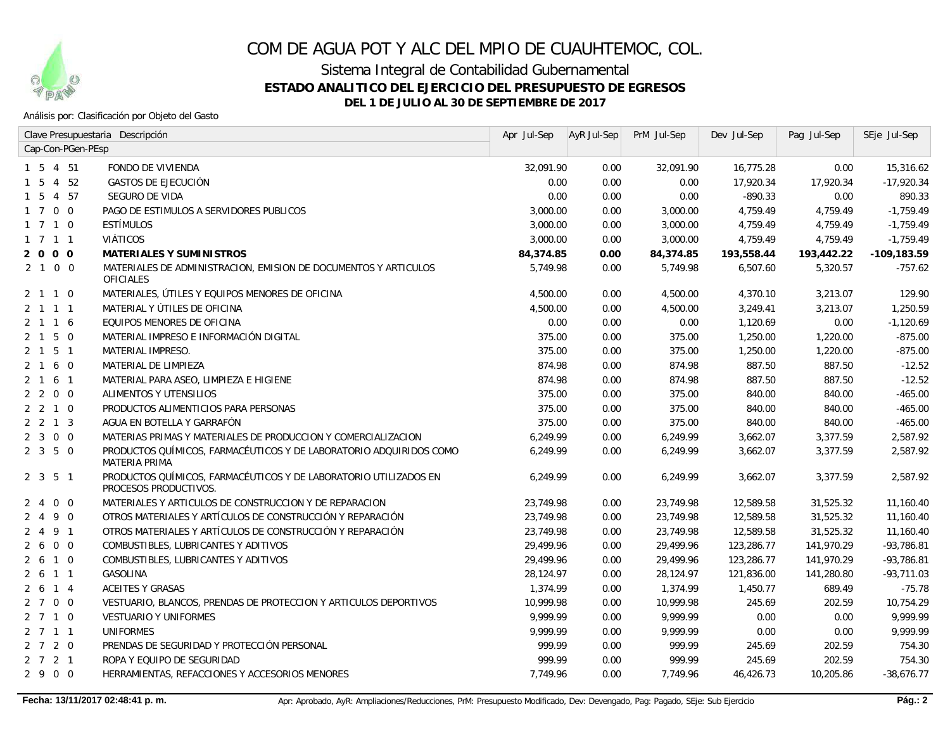

Sistema Integral de Contabilidad Gubernamental

**ESTADO ANALITICO DEL EJERCICIO DEL PRESUPUESTO DE EGRESOS**

**DEL 1 DE JULIO AL 30 DE SEPTIEMBRE DE 2017**

### Análisis por: Clasificación por Objeto del Gasto

|                                  | Clave Presupuestaria Descripción                                                                 | Apr Jul-Sep | AyR Jul-Sep | PrM Jul-Sep | Dev Jul-Sep | Pag Jul-Sep | SEje Jul-Sep   |
|----------------------------------|--------------------------------------------------------------------------------------------------|-------------|-------------|-------------|-------------|-------------|----------------|
| Cap-Con-PGen-PEsp                |                                                                                                  |             |             |             |             |             |                |
| 1 5<br>4 51                      | <b>FONDO DE VIVIENDA</b>                                                                         | 32,091.90   | 0.00        | 32,091.90   | 16,775.28   | 0.00        | 15,316.62      |
| - 5<br>4 52                      | <b>GASTOS DE EJECUCIÓN</b>                                                                       | 0.00        | 0.00        | 0.00        | 17,920.34   | 17,920.34   | $-17,920.34$   |
| 4 57<br>- 5<br>-1                | <b>SEGURO DE VIDA</b>                                                                            | 0.00        | 0.00        | 0.00        | $-890.33$   | 0.00        | 890.33         |
| 1 7 0 0                          | PAGO DE ESTIMULOS A SERVIDORES PUBLICOS                                                          | 3,000.00    | 0.00        | 3,000.00    | 4,759.49    | 4,759.49    | $-1,759.49$    |
| $1 \t7 \t1 \t0$                  | <b>ESTÍMULOS</b>                                                                                 | 3,000.00    | 0.00        | 3,000.00    | 4,759.49    | 4,759.49    | $-1,759.49$    |
| 1 7 1 1                          | <b>VIÁTICOS</b>                                                                                  | 3,000.00    | 0.00        | 3,000.00    | 4,759.49    | 4,759.49    | $-1,759.49$    |
| 2 0 0 0                          | <b>MATERIALES Y SUMINISTROS</b>                                                                  | 84,374.85   | 0.00        | 84,374.85   | 193,558.44  | 193,442.22  | $-109, 183.59$ |
| 2 1 0 0                          | MATERIALES DE ADMINISTRACION, EMISION DE DOCUMENTOS Y ARTICULOS<br>OFICIALES                     | 5,749.98    | 0.00        | 5.749.98    | 6,507.60    | 5,320.57    | $-757.62$      |
| 2 1 1 0                          | MATERIALES, ÚTILES Y EQUIPOS MENORES DE OFICINA                                                  | 4,500.00    | 0.00        | 4,500.00    | 4,370.10    | 3,213.07    | 129.90         |
| 2 1 1 1                          | MATERIAL Y ÚTILES DE OFICINA                                                                     | 4,500.00    | 0.00        | 4,500.00    | 3,249.41    | 3,213.07    | 1,250.59       |
| 2 1 1 6                          | EQUIPOS MENORES DE OFICINA                                                                       | 0.00        | 0.00        | 0.00        | 1,120.69    | 0.00        | $-1,120.69$    |
| 2 1 5 0                          | MATERIAL IMPRESO E INFORMACIÓN DIGITAL                                                           | 375.00      | 0.00        | 375.00      | 1,250.00    | 1,220.00    | $-875.00$      |
| $2 \t1 \t5 \t1$                  | <b>MATERIAL IMPRESO.</b>                                                                         | 375.00      | 0.00        | 375.00      | 1,250.00    | 1,220.00    | $-875.00$      |
| 2 1 6 0                          | MATERIAL DE LIMPIEZA                                                                             | 874.98      | 0.00        | 874.98      | 887.50      | 887.50      | $-12.52$       |
| 6 1<br>$2 \quad 1$               | MATERIAL PARA ASEO, LIMPIEZA E HIGIENE                                                           | 874.98      | 0.00        | 874.98      | 887.50      | 887.50      | $-12.52$       |
| 2200                             | ALIMENTOS Y UTENSILIOS                                                                           | 375.00      | 0.00        | 375.00      | 840.00      | 840.00      | $-465.00$      |
| 2210                             | PRODUCTOS ALIMENTICIOS PARA PERSONAS                                                             | 375.00      | 0.00        | 375.00      | 840.00      | 840.00      | $-465.00$      |
| $2 \t2 \t1 \t3$                  | AGUA EN BOTELLA Y GARRAFÓN                                                                       | 375.00      | 0.00        | 375.00      | 840.00      | 840.00      | $-465.00$      |
| 2300                             | MATERIAS PRIMAS Y MATERIALES DE PRODUCCION Y COMERCIALIZACION                                    | 6,249.99    | 0.00        | 6,249.99    | 3,662.07    | 3,377.59    | 2,587.92       |
| 2350                             | PRODUCTOS QUÍMICOS, FARMACÉUTICOS Y DE LABORATORIO ADQUIRIDOS COMO<br><b>MATERIA PRIMA</b>       | 6,249.99    | 0.00        | 6,249.99    | 3,662.07    | 3,377.59    | 2,587.92       |
| 2 <sub>3</sub><br>5 <sub>1</sub> | PRODUCTOS QUÍMICOS, FARMACÉUTICOS Y DE LABORATORIO UTILIZADOS EN<br><b>PROCESOS PRODUCTIVOS.</b> | 6,249.99    | 0.00        | 6,249.99    | 3,662.07    | 3,377.59    | 2,587.92       |
| $0\quad 0$<br>2 4                | MATERIALES Y ARTICULOS DE CONSTRUCCION Y DE REPARACION                                           | 23,749.98   | 0.00        | 23,749.98   | 12,589.58   | 31,525.32   | 11,160.40      |
| 9 0<br>2 4                       | OTROS MATERIALES Y ARTÍCULOS DE CONSTRUCCIÓN Y REPARACIÓN                                        | 23,749.98   | 0.00        | 23,749.98   | 12,589.58   | 31,525.32   | 11,160.40      |
| 9 1<br>$2 \quad 4$               | OTROS MATERIALES Y ARTÍCULOS DE CONSTRUCCIÓN Y REPARACIÓN                                        | 23,749.98   | 0.00        | 23,749.98   | 12,589.58   | 31,525.32   | 11,160.40      |
| $0\quad 0$<br>2 6                | COMBUSTIBLES, LUBRICANTES Y ADITIVOS                                                             | 29,499.96   | 0.00        | 29,499.96   | 123,286.77  | 141,970.29  | $-93,786.81$   |
| 2610                             | COMBUSTIBLES, LUBRICANTES Y ADITIVOS                                                             | 29,499.96   | 0.00        | 29,499.96   | 123,286.77  | 141,970.29  | $-93,786.81$   |
| 2 6 1 1                          | GASOLINA                                                                                         | 28,124.97   | 0.00        | 28,124.97   | 121,836.00  | 141,280.80  | $-93,711.03$   |
| 2 6 1 4                          | <b>ACEITES Y GRASAS</b>                                                                          | 1,374.99    | 0.00        | 1.374.99    | 1,450.77    | 689.49      | $-75.78$       |
| 2700                             | VESTUARIO, BLANCOS, PRENDAS DE PROTECCION Y ARTICULOS DEPORTIVOS                                 | 10,999.98   | 0.00        | 10,999.98   | 245.69      | 202.59      | 10,754.29      |
| 2 7 1 0                          | <b>VESTUARIO Y UNIFORMES</b>                                                                     | 9,999.99    | 0.00        | 9,999.99    | 0.00        | 0.00        | 9,999.99       |
| 2 7 1 1                          | <b>UNIFORMES</b>                                                                                 | 9.999.99    | 0.00        | 9.999.99    | 0.00        | 0.00        | 9,999.99       |
| $2$ 7 2 0                        | PRENDAS DE SEGURIDAD Y PROTECCIÓN PERSONAL                                                       | 999.99      | 0.00        | 999.99      | 245.69      | 202.59      | 754.30         |
| $2$ 7 2 1                        | ROPA Y EQUIPO DE SEGURIDAD                                                                       | 999.99      | 0.00        | 999.99      | 245.69      | 202.59      | 754.30         |
| 2900                             | HERRAMIENTAS, REFACCIONES Y ACCESORIOS MENORES                                                   | 7,749.96    | 0.00        | 7,749.96    | 46,426.73   | 10,205.86   | $-38,676.77$   |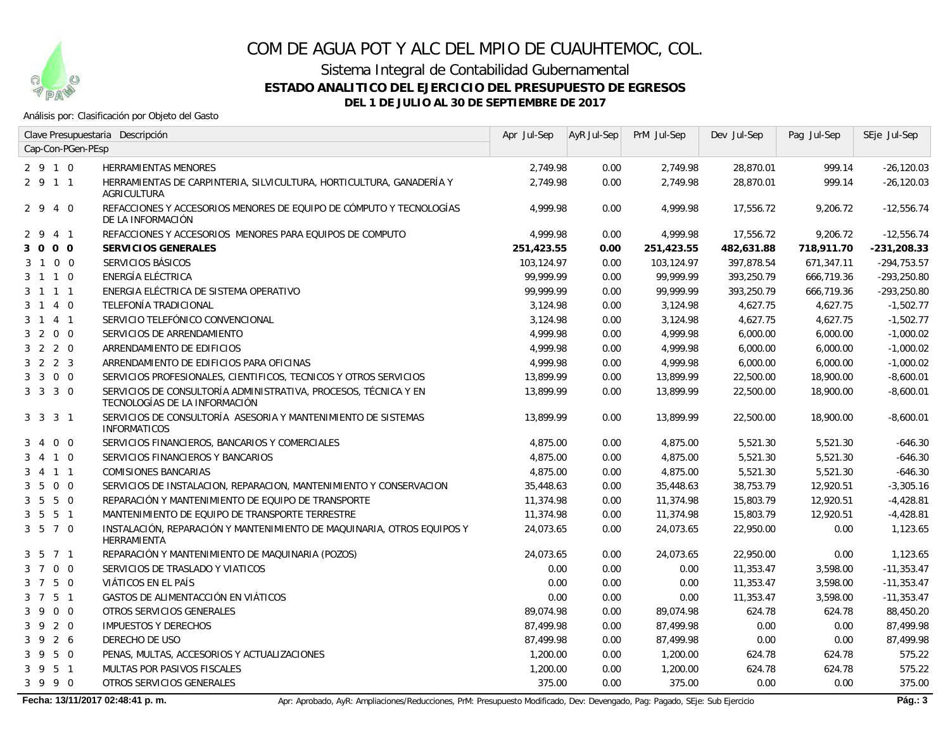

Sistema Integral de Contabilidad Gubernamental

**ESTADO ANALITICO DEL EJERCICIO DEL PRESUPUESTO DE EGRESOS**

**DEL 1 DE JULIO AL 30 DE SEPTIEMBRE DE 2017**

#### Análisis por: Clasificación por Objeto del Gasto

|                                  | Clave Presupuestaria Descripción                                                                 | Apr Jul-Sep | AyR Jul-Sep | PrM Jul-Sep | Dev Jul-Sep | Pag Jul-Sep | SEje Jul-Sep  |
|----------------------------------|--------------------------------------------------------------------------------------------------|-------------|-------------|-------------|-------------|-------------|---------------|
| Cap-Con-PGen-PEsp                |                                                                                                  |             |             |             |             |             |               |
| 2910                             | HERRAMIENTAS MENORES                                                                             | 2,749.98    | 0.00        | 2,749.98    | 28,870.01   | 999.14      | $-26,120.03$  |
| 2 9 1 1                          | HERRAMIENTAS DE CARPINTERIA, SILVICULTURA, HORTICULTURA, GANADERÍA Y<br><b>AGRICULTURA</b>       | 2,749.98    | 0.00        | 2,749.98    | 28,870.01   | 999.14      | $-26, 120.03$ |
| 2940                             | REFACCIONES Y ACCESORIOS MENORES DE EQUIPO DE CÓMPUTO Y TECNOLOGÍAS<br>DE LA INFORMACIÓN         | 4.999.98    | 0.00        | 4.999.98    | 17,556.72   | 9,206.72    | $-12,556.74$  |
| 2 9<br>4 1                       | REFACCIONES Y ACCESORIOS MENORES PARA EQUIPOS DE COMPUTO                                         | 4,999.98    | 0.00        | 4,999.98    | 17,556.72   | 9,206.72    | $-12,556.74$  |
| 3 0 0 0                          | <b>SERVICIOS GENERALES</b>                                                                       | 251,423.55  | 0.00        | 251,423.55  | 482,631.88  | 718,911.70  | $-231,208.33$ |
| 3 1 0 0                          | SERVICIOS BÁSICOS                                                                                | 103,124.97  | 0.00        | 103,124.97  | 397,878.54  | 671,347.11  | $-294,753.57$ |
| 3 1 1 0                          | ENERGÍA ELÉCTRICA                                                                                | 99.999.99   | 0.00        | 99,999.99   | 393,250.79  | 666,719.36  | $-293,250.80$ |
| 3 1 1 1                          | ENERGIA ELÉCTRICA DE SISTEMA OPERATIVO                                                           | 99,999.99   | 0.00        | 99.999.99   | 393,250.79  | 666,719.36  | $-293,250.80$ |
| 3 1 4 0                          | TELEFONÍA TRADICIONAL                                                                            | 3,124.98    | 0.00        | 3,124.98    | 4,627.75    | 4,627.75    | $-1,502.77$   |
| 3 1 4 1                          | SERVICIO TELEFÓNICO CONVENCIONAL                                                                 | 3,124.98    | 0.00        | 3,124.98    | 4,627.75    | 4,627.75    | $-1,502.77$   |
| 3 2 0 0                          | SERVICIOS DE ARRENDAMIENTO                                                                       | 4,999.98    | 0.00        | 4,999.98    | 6,000.00    | 6,000.00    | $-1,000.02$   |
| 3 2 2 0                          | ARRENDAMIENTO DE EDIFICIOS                                                                       | 4,999.98    | 0.00        | 4,999.98    | 6,000.00    | 6,000.00    | $-1,000.02$   |
| $3 \t2 \t2 \t3$                  | ARRENDAMIENTO DE EDIFICIOS PARA OFICINAS                                                         | 4,999.98    | 0.00        | 4,999.98    | 6,000.00    | 6,000.00    | $-1,000.02$   |
| 3 3 0 0                          | SERVICIOS PROFESIONALES, CIENTIFICOS, TECNICOS Y OTROS SERVICIOS                                 | 13,899.99   | 0.00        | 13,899.99   | 22,500.00   | 18,900.00   | $-8,600.01$   |
| 3 3 3 0                          | SERVICIOS DE CONSULTORÍA ADMINISTRATIVA, PROCESOS, TÉCNICA Y EN<br>TECNOLOGÍAS DE LA INFORMACIÓN | 13,899.99   | 0.00        | 13,899.99   | 22,500.00   | 18,900.00   | $-8,600.01$   |
| 3 3 3 1                          | SERVICIOS DE CONSULTORÍA ASESORIA Y MANTENIMIENTO DE SISTEMAS<br><b>INFORMATICOS</b>             | 13,899.99   | 0.00        | 13,899.99   | 22,500.00   | 18,900.00   | $-8,600.01$   |
| $0\quad 0$<br>3 4                | SERVICIOS FINANCIEROS, BANCARIOS Y COMERCIALES                                                   | 4,875.00    | 0.00        | 4,875.00    | 5,521.30    | 5,521.30    | $-646.30$     |
| 4 1 0<br>3                       | SERVICIOS FINANCIEROS Y BANCARIOS                                                                | 4,875.00    | 0.00        | 4,875.00    | 5,521.30    | 5,521.30    | $-646.30$     |
| 4 1 1<br>3                       | <b>COMISIONES BANCARIAS</b>                                                                      | 4,875.00    | 0.00        | 4,875.00    | 5,521.30    | 5,521.30    | $-646.30$     |
| 5 0 0<br>3                       | SERVICIOS DE INSTALACION, REPARACION, MANTENIMIENTO Y CONSERVACION                               | 35,448.63   | 0.00        | 35,448.63   | 38,753.79   | 12,920.51   | $-3,305.16$   |
| 5 0<br>$3\quad 5$                | REPARACIÓN Y MANTENIMIENTO DE EQUIPO DE TRANSPORTE                                               | 11,374.98   | 0.00        | 11,374.98   | 15,803.79   | 12,920.51   | $-4,428.81$   |
| 5 <sub>1</sub><br>3 <sub>5</sub> | MANTENIMIENTO DE EQUIPO DE TRANSPORTE TERRESTRE                                                  | 11,374.98   | 0.00        | 11,374.98   | 15,803.79   | 12,920.51   | $-4,428.81$   |
| 3 5 7 0                          | INSTALACIÓN, REPARACIÓN Y MANTENIMIENTO DE MAQUINARIA, OTROS EQUIPOS Y<br>HERRAMIENTA            | 24,073.65   | 0.00        | 24,073.65   | 22,950.00   | 0.00        | 1,123.65      |
| 3 5 7 1                          | REPARACIÓN Y MANTENIMIENTO DE MAQUINARIA (POZOS)                                                 | 24,073.65   | 0.00        | 24,073.65   | 22,950.00   | 0.00        | 1,123.65      |
| 3 7 0 0                          | SERVICIOS DE TRASLADO Y VIATICOS                                                                 | 0.00        | 0.00        | 0.00        | 11,353.47   | 3,598.00    | $-11,353.47$  |
| 3 7 5 0                          | VIÁTICOS EN EL PAÍS                                                                              | 0.00        | 0.00        | 0.00        | 11,353.47   | 3,598.00    | $-11,353.47$  |
| 5 <sub>1</sub><br>$3 \quad 7$    | GASTOS DE ALIMENTACCIÓN EN VIÁTICOS                                                              | 0.00        | 0.00        | 0.00        | 11,353.47   | 3,598.00    | $-11,353.47$  |
| 3 9 0 0                          | OTROS SERVICIOS GENERALES                                                                        | 89,074.98   | 0.00        | 89,074.98   | 624.78      | 624.78      | 88,450.20     |
| 3920                             | <b>IMPUESTOS Y DERECHOS</b>                                                                      | 87,499.98   | 0.00        | 87,499.98   | 0.00        | 0.00        | 87,499.98     |
| 3 9 2 6                          | <b>DERECHO DE USO</b>                                                                            | 87,499.98   | 0.00        | 87,499.98   | 0.00        | 0.00        | 87,499.98     |
| 5 0<br>3 <sup>9</sup>            | PENAS, MULTAS, ACCESORIOS Y ACTUALIZACIONES                                                      | 1,200.00    | 0.00        | 1,200.00    | 624.78      | 624.78      | 575.22        |
| $3 \overline{9}$<br>5 1          | MULTAS POR PASIVOS FISCALES                                                                      | 1,200.00    | 0.00        | 1,200.00    | 624.78      | 624.78      | 575.22        |
| 3 9 9 0                          | OTROS SERVICIOS GENERALES                                                                        | 375.00      | 0.00        | 375.00      | 0.00        | 0.00        | 375.00        |

Fecha: 13/11/2017 02:48:41 p. m. **Apricage Activationes**/Reducciones, PrM: Presupuesto Modificado, Dev: Devengado, Pag: Pagado, SEje: Sub Ejercicio **Pág.: 3**<br> **Pág.: 3**